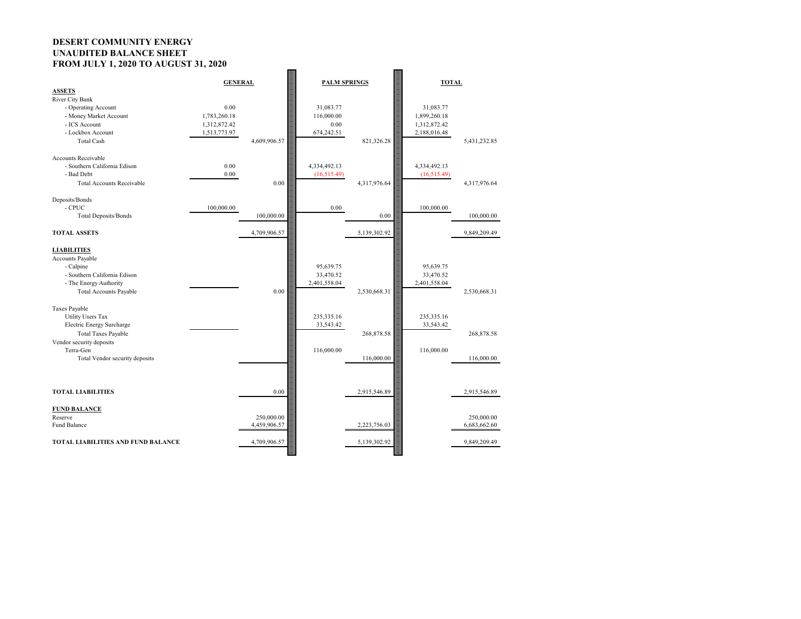# **DESERT COMMUNITY ENERGY UNAUDITED BALANCE SHEET FROM JULY 1, 2020 TO AUGUST 31, 2020**

| <b>ASSETS</b>                                 | <b>GENERAL</b>       |              | <b>PALM SPRINGS</b>     |              | <b>TOTAL</b>              |              |
|-----------------------------------------------|----------------------|--------------|-------------------------|--------------|---------------------------|--------------|
| <b>River City Bank</b>                        |                      |              |                         |              |                           |              |
| - Operating Account<br>- Money Market Account | 0.00<br>1,783,260.18 |              | 31,083.77<br>116,000.00 |              | 31,083.77<br>1,899,260.18 |              |
| - ICS Account                                 | 1,312,872.42         |              | $0.00\,$                |              | 1,312,872.42              |              |
| - Lockbox Account                             | 1,513,773.97         |              | 674,242.51              |              | 2,188,016.48              |              |
| <b>Total Cash</b>                             |                      | 4,609,906.57 |                         | 821,326.28   |                           | 5,431,232.85 |
| <b>Accounts Receivable</b>                    |                      |              |                         |              |                           |              |
| - Southern California Edison                  | 0.00                 |              | 4,334,492.13            |              | 4,334,492.13              |              |
| - Bad Debt                                    | 0.00                 |              | (16,515.49)             |              | (16,515.49)               |              |
| <b>Total Accounts Receivable</b>              |                      | 0.00         |                         | 4,317,976.64 |                           | 4,317,976.64 |
| Deposits/Bonds                                |                      |              |                         |              |                           |              |
| - CPUC                                        | 100,000.00           |              | 0.00                    |              | 100,000.00                |              |
| Total Deposits/Bonds                          |                      | 100,000.00   |                         | 0.00         |                           | 100,000.00   |
| <b>TOTAL ASSETS</b>                           |                      | 4,709,906.57 |                         | 5,139,302.92 |                           | 9,849,209.49 |
| <b>LIABILITIES</b>                            |                      |              |                         |              |                           |              |
| Accounts Payable                              |                      |              |                         |              |                           |              |
| - Calpine                                     |                      |              | 95,639.75               |              | 95,639.75                 |              |
| - Southern California Edison                  |                      |              | 33,470.52               |              | 33,470.52                 |              |
| - The Energy Authority                        |                      |              | 2,401,558.04            |              | 2,401,558.04              |              |
| <b>Total Accounts Payable</b>                 |                      | $0.00\,$     |                         | 2,530,668.31 |                           | 2,530,668.31 |
| Taxes Payable                                 |                      |              |                         |              |                           |              |
| <b>Utility Users Tax</b>                      |                      |              | 235, 335.16             |              | 235, 335.16               |              |
| Electric Energy Surcharge                     |                      |              | 33,543.42               |              | 33,543.42                 |              |
| <b>Total Taxes Payable</b>                    |                      |              |                         | 268,878.58   |                           | 268,878.58   |
| Vendor security deposits                      |                      |              |                         |              |                           |              |
| Terra-Gen                                     |                      |              | 116,000.00              |              | 116,000.00                |              |
| Total Vendor security deposits                |                      |              |                         | 116,000.00   |                           | 116,000.00   |
|                                               |                      |              |                         |              |                           |              |
|                                               |                      |              |                         |              |                           |              |
| <b>TOTAL LIABILITIES</b>                      |                      | 0.00         |                         | 2,915,546.89 |                           | 2,915,546.89 |
| <b>FUND BALANCE</b>                           |                      |              |                         |              |                           |              |
| Reserve                                       |                      | 250,000.00   |                         |              |                           | 250,000.00   |
| Fund Balance                                  |                      | 4,459,906.57 |                         | 2,223,756.03 |                           | 6,683,662.60 |
| <b>TOTAL LIABILITIES AND FUND BALANCE</b>     |                      | 4,709,906.57 |                         | 5,139,302.92 |                           | 9,849,209.49 |
|                                               |                      |              |                         |              |                           |              |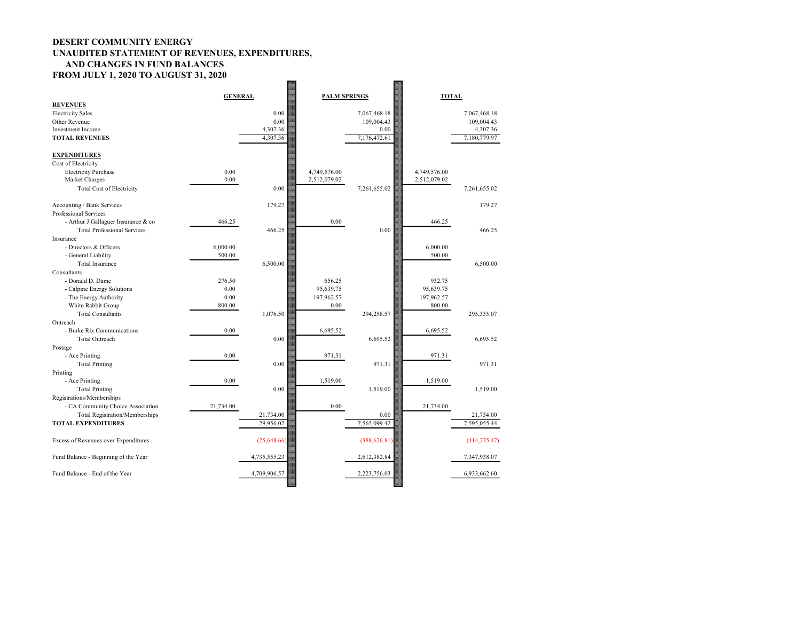### **DESERT COMMUNITY ENERGY UNAUDITED STATEMENT OF REVENUES, EXPENDITURES, AND CHANGES IN FUND BALANCES FROM JULY 1, 2020 TO AUGUST 31, 2020 Barnet**

| <b>REVENUES</b>                                | <b>GENERAL</b> |              | <b>PALM SPRINGS</b> |               | <b>TOTAL</b>         |               |
|------------------------------------------------|----------------|--------------|---------------------|---------------|----------------------|---------------|
| <b>Electricity Sales</b>                       |                | 0.00         |                     | 7,067,468.18  |                      | 7,067,468.18  |
| Other Revenue                                  |                | 0.00         |                     | 109,004.43    |                      | 109,004.43    |
| <b>Investment Income</b>                       |                | 4,307.36     |                     | 0.00          |                      | 4,307.36      |
| <b>TOTAL REVENUES</b>                          |                | 4,307.36     |                     | 7,176,472.61  |                      | 7,180,779.97  |
|                                                |                |              |                     |               |                      |               |
| <b>EXPENDITURES</b>                            |                |              |                     |               |                      |               |
| Cost of Electricity                            |                |              |                     |               |                      |               |
| <b>Electricity Purchase</b>                    | 0.00           |              | 4,749,576.00        |               | 4,749,576.00         |               |
| Market Charges                                 | $0.00\,$       |              | 2,512,079.02        |               | 2,512,079.02         |               |
|                                                |                |              |                     |               |                      |               |
| <b>Total Cost of Electricity</b>               |                | 0.00         |                     | 7,261,655.02  |                      | 7,261,655.02  |
| Accounting / Bank Services                     |                | 179.27       |                     |               |                      | 179.27        |
| Professional Services                          |                |              |                     |               |                      |               |
| - Arthur J Gallaguer Insurance & co            | 466.25         |              | 0.00                |               | 466.25               |               |
| <b>Total Professional Services</b>             |                | 466.25       |                     | 0.00          |                      | 466.25        |
| Insurance                                      |                |              |                     |               |                      |               |
| - Directors & Officers                         | 6,000.00       |              |                     |               | 6,000.00             |               |
| - General Liability                            | 500.00         |              |                     |               | 500.00               |               |
| <b>Total Insurance</b>                         |                | 6,500.00     |                     |               |                      | 6,500.00      |
| Consultants                                    |                |              |                     |               |                      |               |
| - Donald D. Dame                               | 276.50         |              | 656.25              |               | 932.75               |               |
| - Calpine Energy Solutions                     | 0.00           |              | 95,639.75           |               | 95,639.75            |               |
|                                                | 0.00           |              |                     |               |                      |               |
| - The Energy Authority<br>- White Rabbit Group | 800.00         |              | 197,962.57<br>0.00  |               | 197,962.57<br>800.00 |               |
|                                                |                |              |                     |               |                      |               |
| <b>Total Consultants</b>                       |                | 1,076.50     |                     | 294,258.57    |                      | 295,335.07    |
| Outreach                                       |                |              |                     |               |                      |               |
| - Burke Rix Communications                     | 0.00           |              | 6,695.52            |               | 6,695.52             |               |
| <b>Total Outreach</b>                          |                | 0.00         |                     | 6,695.52      |                      | 6,695.52      |
| Postage                                        |                |              |                     |               |                      |               |
| - Ace Printing                                 | 0.00           |              | 971.31              |               | 971.31               |               |
| <b>Total Printing</b>                          |                | 0.00         |                     | 971.31        |                      | 971.31        |
| Printing                                       |                |              |                     |               |                      |               |
| - Ace Printing                                 | 0.00           |              | 1,519.00            |               | 1,519.00             |               |
| <b>Total Printing</b>                          |                | 0.00         |                     | 1,519.00      |                      | 1,519.00      |
| Registrations/Memberships                      |                |              |                     |               |                      |               |
| - CA Community Choice Association              | 21,734.00      |              | 0.00                |               | 21,734.00            |               |
| <b>Total Registration/Memberships</b>          |                | 21,734.00    |                     | 0.00          |                      | 21,734.00     |
| <b>TOTAL EXPENDITURES</b>                      |                | 29,956.02    |                     | 7,565,099.42  |                      | 7,595,055.44  |
|                                                |                |              |                     |               |                      |               |
| Excess of Revenues over Expenditures           |                | (25,648.66)  |                     | (388, 626.81) |                      | (414, 275.47) |
|                                                |                |              |                     |               |                      |               |
| Fund Balance - Beginning of the Year           |                | 4,735,555.23 |                     | 2,612,382.84  |                      | 7,347,938.07  |
|                                                |                |              |                     |               |                      |               |
| Fund Balance - End of the Year                 |                | 4,709,906.57 |                     | 2,223,756.03  |                      | 6,933,662.60  |
|                                                |                |              |                     |               |                      |               |
|                                                |                |              |                     |               |                      |               |